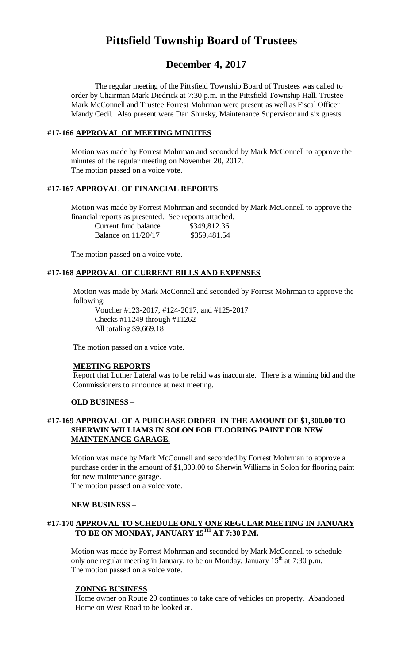# **Pittsfield Township Board of Trustees**

## **December 4, 2017**

The regular meeting of the Pittsfield Township Board of Trustees was called to order by Chairman Mark Diedrick at 7:30 p.m. in the Pittsfield Township Hall. Trustee Mark McConnell and Trustee Forrest Mohrman were present as well as Fiscal Officer Mandy Cecil. Also present were Dan Shinsky, Maintenance Supervisor and six guests.

## **#17-166 APPROVAL OF MEETING MINUTES**

Motion was made by Forrest Mohrman and seconded by Mark McConnell to approve the minutes of the regular meeting on November 20, 2017. The motion passed on a voice vote.

## **#17-167 APPROVAL OF FINANCIAL REPORTS**

Motion was made by Forrest Mohrman and seconded by Mark McConnell to approve the financial reports as presented. See reports attached.

| Current fund balance  | \$349,812.36 |
|-----------------------|--------------|
| Balance on $11/20/17$ | \$359,481.54 |

The motion passed on a voice vote.

#### **#17-168 APPROVAL OF CURRENT BILLS AND EXPENSES**

Motion was made by Mark McConnell and seconded by Forrest Mohrman to approve the following:

Voucher #123-2017, #124-2017, and #125-2017 Checks #11249 through #11262 All totaling \$9,669.18

The motion passed on a voice vote.

#### **MEETING REPORTS**

Report that Luther Lateral was to be rebid was inaccurate. There is a winning bid and the Commissioners to announce at next meeting.

#### **OLD BUSINESS** –

## **#17-169 APPROVAL OF A PURCHASE ORDER IN THE AMOUNT OF \$1,300.00 TO SHERWIN WILLIAMS IN SOLON FOR FLOORING PAINT FOR NEW MAINTENANCE GARAGE.**

Motion was made by Mark McConnell and seconded by Forrest Mohrman to approve a purchase order in the amount of \$1,300.00 to Sherwin Williams in Solon for flooring paint for new maintenance garage.

The motion passed on a voice vote.

#### **NEW BUSINESS** –

## **#17-170 APPROVAL TO SCHEDULE ONLY ONE REGULAR MEETING IN JANUARY TO BE ON MONDAY, JANUARY 15TH AT 7:30 P.M.**

Motion was made by Forrest Mohrman and seconded by Mark McConnell to schedule only one regular meeting in January, to be on Monday, January  $15<sup>th</sup>$  at 7:30 p.m. The motion passed on a voice vote.

#### **ZONING BUSINESS**

Home owner on Route 20 continues to take care of vehicles on property. Abandoned Home on West Road to be looked at.